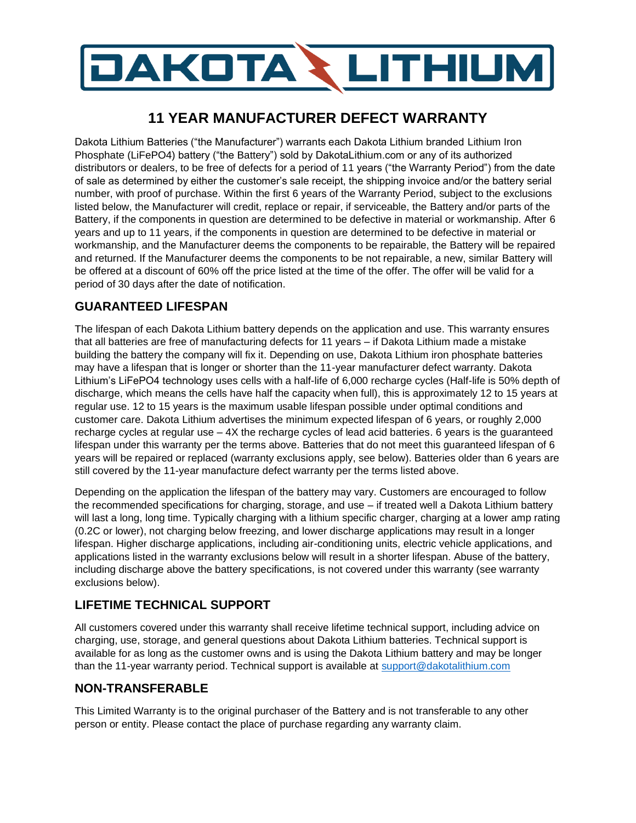# DAKOTA & LITHIUM

# **11 YEAR MANUFACTURER DEFECT WARRANTY**

Dakota Lithium Batteries ("the Manufacturer") warrants each Dakota Lithium branded Lithium Iron Phosphate (LiFePO4) battery ("the Battery") sold by DakotaLithium.com or any of its authorized distributors or dealers, to be free of defects for a period of 11 years ("the Warranty Period") from the date of sale as determined by either the customer's sale receipt, the shipping invoice and/or the battery serial number, with proof of purchase. Within the first 6 years of the Warranty Period, subject to the exclusions listed below, the Manufacturer will credit, replace or repair, if serviceable, the Battery and/or parts of the Battery, if the components in question are determined to be defective in material or workmanship. After 6 years and up to 11 years, if the components in question are determined to be defective in material or workmanship, and the Manufacturer deems the components to be repairable, the Battery will be repaired and returned. If the Manufacturer deems the components to be not repairable, a new, similar Battery will be offered at a discount of 60% off the price listed at the time of the offer. The offer will be valid for a period of 30 days after the date of notification.

# **GUARANTEED LIFESPAN**

The lifespan of each Dakota Lithium battery depends on the application and use. This warranty ensures that all batteries are free of manufacturing defects for 11 years – if Dakota Lithium made a mistake building the battery the company will fix it. Depending on use, Dakota Lithium iron phosphate batteries may have a lifespan that is longer or shorter than the 11-year manufacturer defect warranty. Dakota Lithium's LiFePO4 technology uses cells with a half-life of 6,000 recharge cycles (Half-life is 50% depth of discharge, which means the cells have half the capacity when full), this is approximately 12 to 15 years at regular use. 12 to 15 years is the maximum usable lifespan possible under optimal conditions and customer care. Dakota Lithium advertises the minimum expected lifespan of 6 years, or roughly 2,000 recharge cycles at regular use – 4X the recharge cycles of lead acid batteries. 6 years is the guaranteed lifespan under this warranty per the terms above. Batteries that do not meet this guaranteed lifespan of 6 years will be repaired or replaced (warranty exclusions apply, see below). Batteries older than 6 years are still covered by the 11-year manufacture defect warranty per the terms listed above.

Depending on the application the lifespan of the battery may vary. Customers are encouraged to follow the recommended specifications for charging, storage, and use – if treated well a Dakota Lithium battery will last a long, long time. Typically charging with a lithium specific charger, charging at a lower amp rating (0.2C or lower), not charging below freezing, and lower discharge applications may result in a longer lifespan. Higher discharge applications, including air-conditioning units, electric vehicle applications, and applications listed in the warranty exclusions below will result in a shorter lifespan. Abuse of the battery, including discharge above the battery specifications, is not covered under this warranty (see warranty exclusions below).

# **LIFETIME TECHNICAL SUPPORT**

All customers covered under this warranty shall receive lifetime technical support, including advice on charging, use, storage, and general questions about Dakota Lithium batteries. Technical support is available for as long as the customer owns and is using the Dakota Lithium battery and may be longer than the 11-year warranty period. Technical support is available at [support@dakotalithium.com](mailto:support@dakotalithium.com)

## **NON-TRANSFERABLE**

This Limited Warranty is to the original purchaser of the Battery and is not transferable to any other person or entity. Please contact the place of purchase regarding any warranty claim.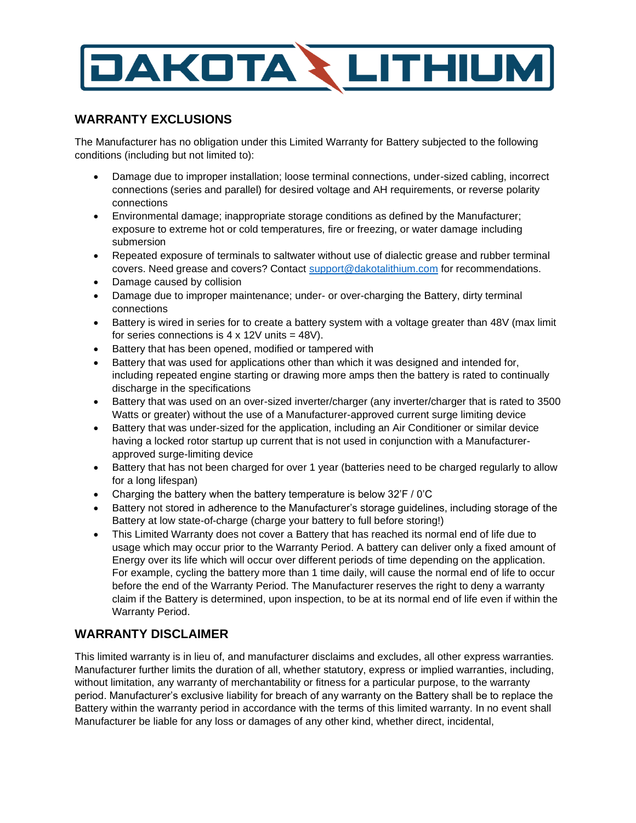

#### **WARRANTY EXCLUSIONS**

The Manufacturer has no obligation under this Limited Warranty for Battery subjected to the following conditions (including but not limited to):

- Damage due to improper installation; loose terminal connections, under-sized cabling, incorrect connections (series and parallel) for desired voltage and AH requirements, or reverse polarity connections
- Environmental damage; inappropriate storage conditions as defined by the Manufacturer; exposure to extreme hot or cold temperatures, fire or freezing, or water damage including submersion
- Repeated exposure of terminals to saltwater without use of dialectic grease and rubber terminal covers. Need grease and covers? Contact [support@dakotalithium.com](mailto:support@dakotalithium.com) for recommendations.
- Damage caused by collision
- Damage due to improper maintenance; under- or over-charging the Battery, dirty terminal connections
- Battery is wired in series for to create a battery system with a voltage greater than 48V (max limit for series connections is  $4 \times 12V$  units = 48V).
- Battery that has been opened, modified or tampered with
- Battery that was used for applications other than which it was designed and intended for, including repeated engine starting or drawing more amps then the battery is rated to continually discharge in the specifications
- Battery that was used on an over-sized inverter/charger (any inverter/charger that is rated to 3500 Watts or greater) without the use of a Manufacturer-approved current surge limiting device
- Battery that was under-sized for the application, including an Air Conditioner or similar device having a locked rotor startup up current that is not used in conjunction with a Manufacturerapproved surge-limiting device
- Battery that has not been charged for over 1 year (batteries need to be charged regularly to allow for a long lifespan)
- Charging the battery when the battery temperature is below 32'F / 0'C
- Battery not stored in adherence to the Manufacturer's storage guidelines, including storage of the Battery at low state-of-charge (charge your battery to full before storing!)
- This Limited Warranty does not cover a Battery that has reached its normal end of life due to usage which may occur prior to the Warranty Period. A battery can deliver only a fixed amount of Energy over its life which will occur over different periods of time depending on the application. For example, cycling the battery more than 1 time daily, will cause the normal end of life to occur before the end of the Warranty Period. The Manufacturer reserves the right to deny a warranty claim if the Battery is determined, upon inspection, to be at its normal end of life even if within the Warranty Period.

# **WARRANTY DISCLAIMER**

This limited warranty is in lieu of, and manufacturer disclaims and excludes, all other express warranties. Manufacturer further limits the duration of all, whether statutory, express or implied warranties, including, without limitation, any warranty of merchantability or fitness for a particular purpose, to the warranty period. Manufacturer's exclusive liability for breach of any warranty on the Battery shall be to replace the Battery within the warranty period in accordance with the terms of this limited warranty. In no event shall Manufacturer be liable for any loss or damages of any other kind, whether direct, incidental,